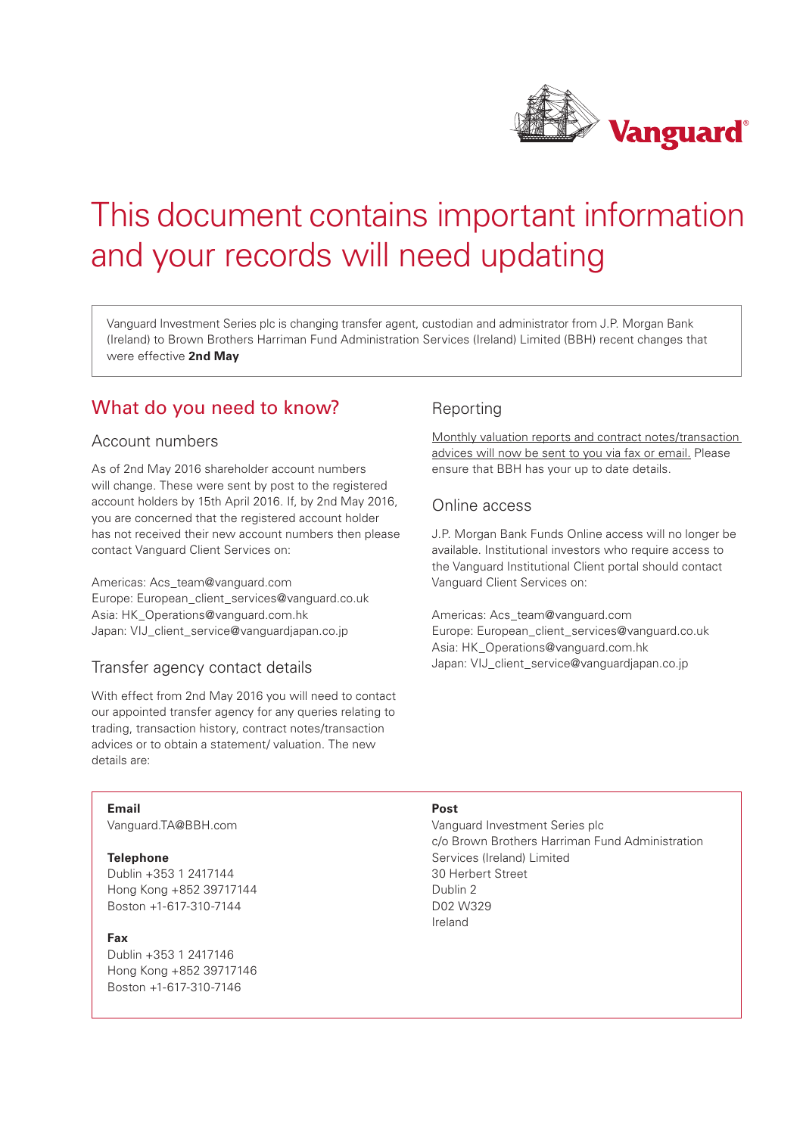

# This document contains important information and your records will need updating

Vanguard Investment Series plc is changing transfer agent, custodian and administrator from J.P. Morgan Bank (Ireland) to Brown Brothers Harriman Fund Administration Services (Ireland) Limited (BBH) recent changes that were effective **2nd May**

# What do you need to know?

### Account numbers

As of 2nd May 2016 shareholder account numbers will change. These were sent by post to the registered account holders by 15th April 2016. If, by 2nd May 2016, you are concerned that the registered account holder has not received their new account numbers then please contact Vanguard Client Services on:

Americas: Acs\_team@vanguard.com Europe: European\_client\_services@vanguard.co.uk Asia: HK\_Operations@vanguard.com.hk Japan: VIJ\_client\_service@vanguardjapan.co.jp

# Transfer agency contact details

With effect from 2nd May 2016 you will need to contact our appointed transfer agency for any queries relating to trading, transaction history, contract notes/transaction advices or to obtain a statement/ valuation. The new details are:

# Reporting

Monthly valuation reports and contract notes/transaction advices will now be sent to you via fax or email. Please ensure that BBH has your up to date details.

# Online access

J.P. Morgan Bank Funds Online access will no longer be available. Institutional investors who require access to the Vanguard Institutional Client portal should contact Vanguard Client Services on:

Americas: Acs\_team@vanguard.com Europe: European\_client\_services@vanguard.co.uk Asia: HK\_Operations@vanguard.com.hk Japan: VIJ\_client\_service@vanguardjapan.co.jp

#### **Email**

Vanguard.TA@BBH.com

#### **Telephone**

Dublin +353 1 2417144 Hong Kong +852 39717144 Boston +1-617-310-7144

#### **Fax**

Dublin +353 1 2417146 Hong Kong +852 39717146 Boston +1-617-310-7146

#### **Post**

Vanguard Investment Series plc c/o Brown Brothers Harriman Fund Administration Services (Ireland) Limited 30 Herbert Street Dublin 2 D02 W329 Ireland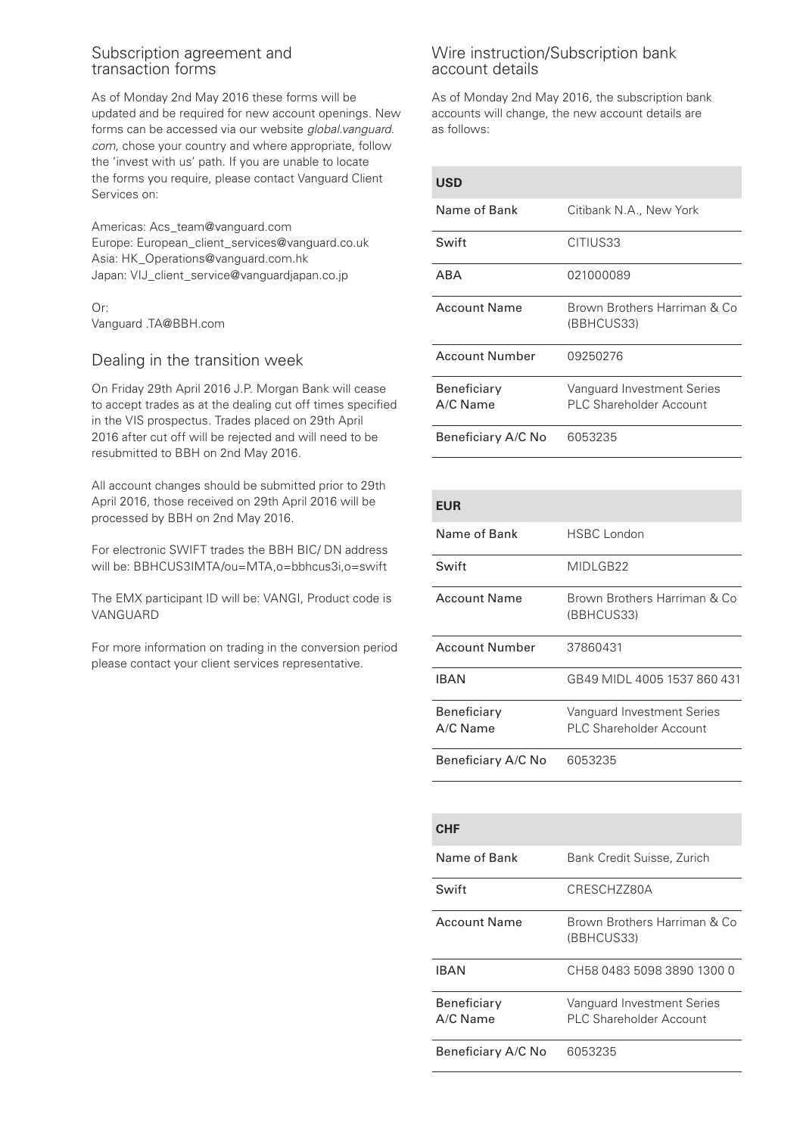### Subscription agreement and transaction forms

As of Monday 2nd May 2016 these forms will be updated and be required for new account openings. New forms can be accessed via our website *global.vanguard. com,* chose your country and where appropriate, follow the 'invest with us' path. If you are unable to locate the forms you require, please contact Vanguard Client Services on:

Americas: Acs\_team@vanguard.com Europe: European\_client\_services@vanguard.co.uk Asia: HK\_Operations@vanguard.com.hk Japan: VIJ\_client\_service@vanguardjapan.co.jp

Or: Vanguard .TA@BBH.com

# Dealing in the transition week

On Friday 29th April 2016 J.P. Morgan Bank will cease to accept trades as at the dealing cut off times specified in the VIS prospectus. Trades placed on 29th April 2016 after cut off will be rejected and will need to be resubmitted to BBH on 2nd May 2016.

All account changes should be submitted prior to 29th April 2016, those received on 29th April 2016 will be processed by BBH on 2nd May 2016.

For electronic SWIFT trades the BBH BIC/ DN address will be: BBHCUS3IMTA/ou=MTA,o=bbhcus3i,o=swift

The EMX participant ID will be: VANGI, Product code is VANGUARD

For more information on trading in the conversion period please contact your client services representative.

# Wire instruction/Subscription bank account details

As of Monday 2nd May 2016, the subscription bank accounts will change, the new account details are as follows:

| uəv                     |                                                       |
|-------------------------|-------------------------------------------------------|
| Name of Bank            | Citibank N.A., New York                               |
| Swift                   | CITIUS33                                              |
| ABA                     | 021000089                                             |
| <b>Account Name</b>     | Brown Brothers Harriman & Co<br>(BBHCUS33)            |
| <b>Account Number</b>   | 09250276                                              |
| Beneficiary<br>A/C Name | Vanguard Investment Series<br>PLC Shareholder Account |
| Beneficiary A/C No      | 6053235                                               |

| <b>EUR</b>                |                                                       |
|---------------------------|-------------------------------------------------------|
| Name of Bank              | HSBC London                                           |
| Swift                     | MIDLGB22                                              |
| <b>Account Name</b>       | Brown Brothers Harriman & Co<br>(BBHCUS33)            |
| <b>Account Number</b>     | 37860431                                              |
| <b>IBAN</b>               | GR49 MIDL 4005 1537 860 431                           |
| Beneficiary<br>$A/C$ Name | Vanguard Investment Series<br>PLC Shareholder Account |
| Beneficiary A/C No        | 6053235                                               |

| CHE                     |                                                       |
|-------------------------|-------------------------------------------------------|
| Name of Bank            | Bank Credit Suisse, Zurich                            |
| Swift                   | CRESCH7780A                                           |
| <b>Account Name</b>     | Brown Brothers Harriman & Co<br>(BBHCUS33)            |
| IBAN                    | CH58 0483 5098 3890 1300 0                            |
| Beneficiary<br>A/C Name | Vanguard Investment Series<br>PLC Shareholder Account |
| Beneficiary A/C No      | 6053235                                               |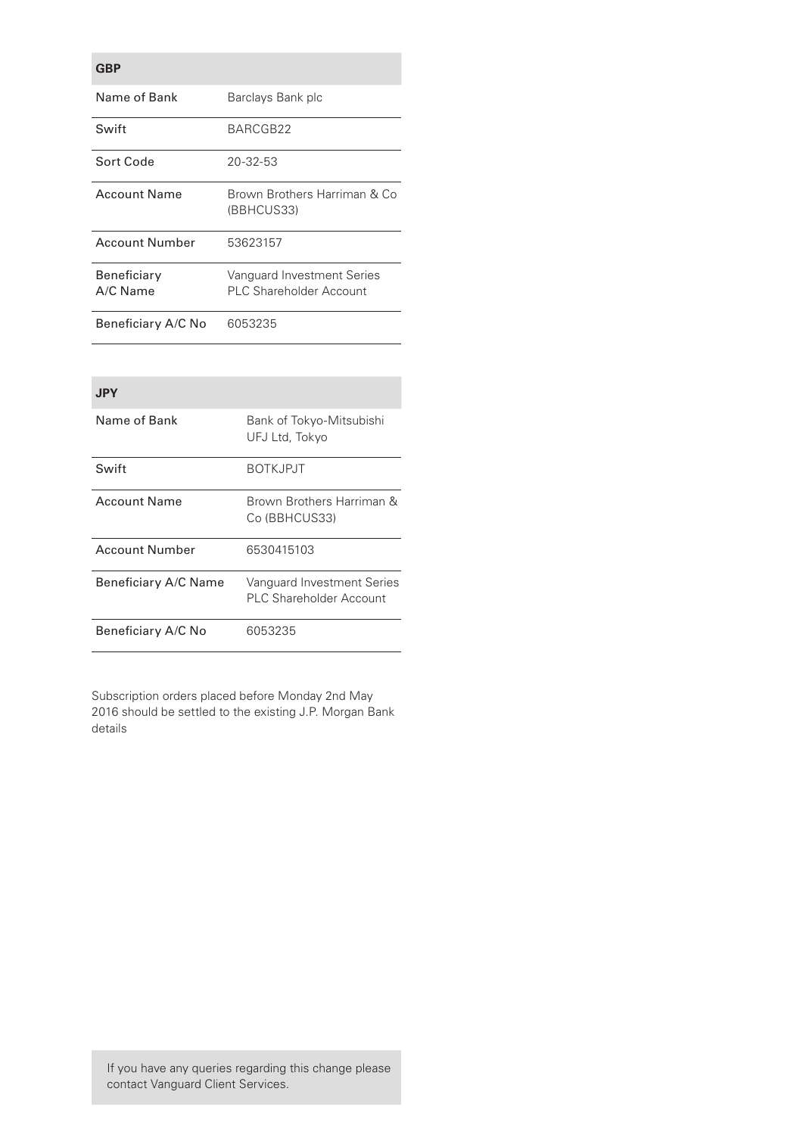| GBP                            |                                                       |
|--------------------------------|-------------------------------------------------------|
| Name of Bank                   | Barclays Bank plc                                     |
| Swift                          | BARCGB22                                              |
| Sort Code                      | 20-32-53                                              |
| <b>Account Name</b>            | Brown Brothers Harriman & Co<br>(BBHCUS33)            |
| <b>Account Number</b>          | 53623157                                              |
| <b>Beneficiary</b><br>A/C Name | Vanguard Investment Series<br>PLC Shareholder Account |
| Beneficiary A/C No             | 6053235                                               |

### **JPY**

| Name of Bank         | Bank of Tokyo-Mitsubishi<br>UFJ Ltd, Tokyo            |
|----------------------|-------------------------------------------------------|
| Swift                | <b>BOTKJPJT</b>                                       |
| <b>Account Name</b>  | Brown Brothers Harriman &<br>Co (BBHCUS33)            |
| Account Number       | 6530415103                                            |
| Beneficiary A/C Name | Vanguard Investment Series<br>PLC Shareholder Account |
| Beneficiary A/C No   | 6053235                                               |

Subscription orders placed before Monday 2nd May 2016 should be settled to the existing J.P. Morgan Bank details

If you have any queries regarding this change please contact Vanguard Client Services.

# **GBP**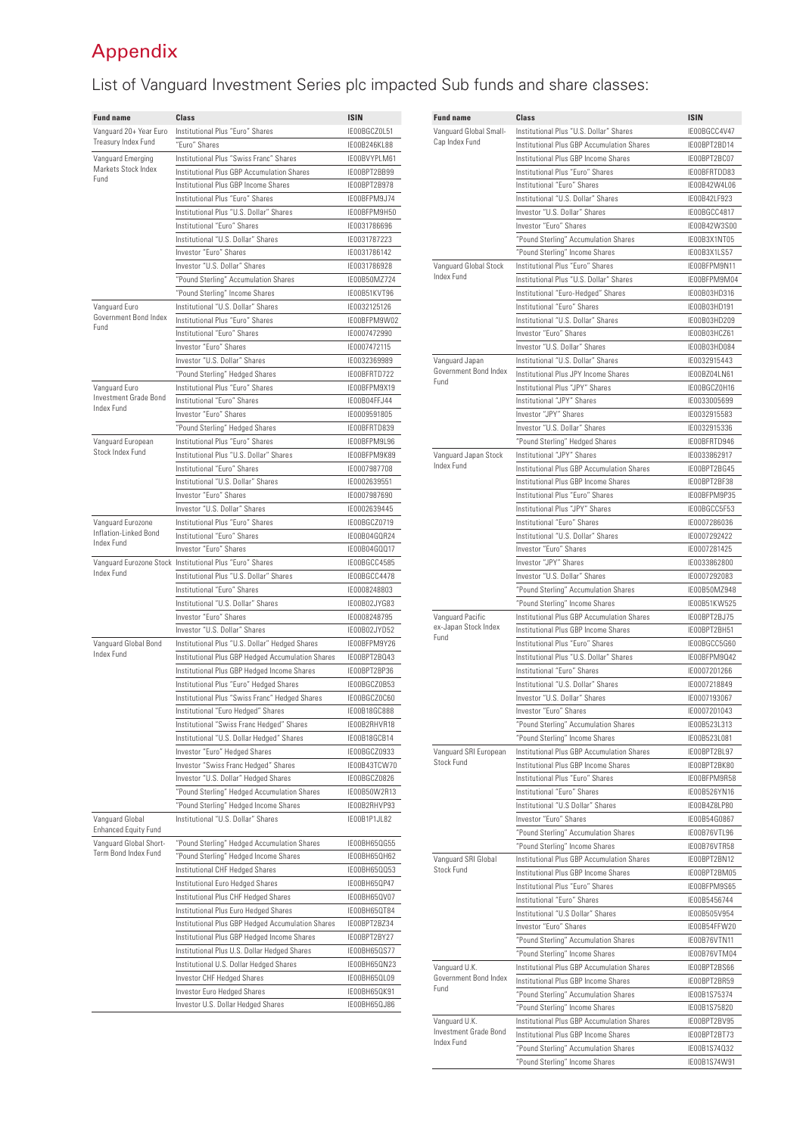# Appendix

# List of Vanguard Investment Series plc impacted Sub funds and share classes:

| <b>Fund name</b>                               | <b>Class</b>                                             | <b>ISIN</b>  |
|------------------------------------------------|----------------------------------------------------------|--------------|
| Vanguard 20+ Year Euro                         | Institutional Plus "Euro" Shares                         | IE00BGCZ0L51 |
| Treasury Index Fund                            | "Euro" Shares                                            | IE00B246KL88 |
| Vanguard Emerging                              | Institutional Plus "Swiss Franc" Shares                  | IE00BVYPLM61 |
| Markets Stock Index                            | Institutional Plus GBP Accumulation Shares               | IE00BPT2BB99 |
| Fund                                           | Institutional Plus GBP Income Shares                     | IE00BPT2B978 |
|                                                | Institutional Plus "Euro" Shares                         | IE00BFPM9J74 |
|                                                | Institutional Plus "U.S. Dollar" Shares                  | IE00BFPM9H50 |
|                                                | Institutional "Euro" Shares                              | IE0031786696 |
|                                                | Institutional "U.S. Dollar" Shares                       | IE0031787223 |
|                                                |                                                          |              |
|                                                | Investor "Euro" Shares                                   | IE0031786142 |
|                                                | Investor "U.S. Dollar" Shares                            | IE0031786928 |
|                                                | "Pound Sterling" Accumulation Shares                     | IE00B50MZ724 |
|                                                | "Pound Sterling" Income Shares                           | IF00B51KVT96 |
| Vanguard Euro                                  | Institutional "U.S. Dollar" Shares                       | IE0032125126 |
| Government Bond Index                          | Institutional Plus "Euro" Shares                         | IE00BFPM9W02 |
| Fund                                           | Institutional "Euro" Shares                              | IE0007472990 |
|                                                | Investor "Euro" Shares                                   | IE0007472115 |
|                                                | Investor "U.S. Dollar" Shares                            | IE0032369989 |
|                                                | "Pound Sterling" Hedged Shares                           | IE00BFRTD722 |
|                                                |                                                          |              |
| Vanguard Euro<br>Investment Grade Bond         | Institutional Plus "Euro" Shares                         | IE00BFPM9X19 |
| Index Fund                                     | Institutional "Euro" Shares                              | IE00B04FFJ44 |
|                                                | Investor "Euro" Shares                                   | IE0009591805 |
|                                                | "Pound Sterling" Hedged Shares                           | IE00BFRTD839 |
| Vanguard European                              | Institutional Plus "Euro" Shares                         | IE00BFPM9L96 |
| Stock Index Fund                               | Institutional Plus "U.S. Dollar" Shares                  | IF00BFPM9K89 |
|                                                | Institutional "Euro" Shares                              | IE0007987708 |
|                                                | Institutional "U.S. Dollar" Shares                       | IE0002639551 |
|                                                | Investor "Euro" Shares                                   | IE0007987690 |
|                                                |                                                          |              |
|                                                | Investor "U.S. Dollar" Shares                            | IE0002639445 |
| Vanguard Eurozone<br>Inflation-Linked Bond     | Institutional Plus "Euro" Shares                         | IE00BGCZ0719 |
| Index Fund                                     | Institutional "Euro" Shares                              | IE00B04GQR24 |
|                                                | Investor "Euro" Shares                                   | IE00B04GQQ17 |
|                                                | Vanguard Eurozone Stock Institutional Plus "Euro" Shares | IE00BGCC4585 |
| Index Fund                                     | Institutional Plus "U.S. Dollar" Shares                  | IE00BGCC4478 |
|                                                | Institutional "Euro" Shares                              | IE0008248803 |
|                                                | Institutional "U.S. Dollar" Shares                       | IE00B02JYG83 |
|                                                | Investor "Euro" Shares                                   | IE0008248795 |
|                                                | Investor "U.S. Dollar" Shares                            | IE00B02JYD52 |
|                                                | Institutional Plus "U.S. Dollar" Hedged Shares           | IE00BFPM9Y26 |
| Vanguard Global Bond<br>Index Fund             |                                                          |              |
|                                                | Institutional Plus GBP Hedged Accumulation Shares        | IE00BPT2BQ43 |
|                                                | Institutional Plus GBP Hedged Income Shares              | IE00BPT2BP36 |
|                                                | Institutional Plus "Euro" Hedged Shares                  | IE00BGCZ0B53 |
|                                                | Institutional Plus "Swiss Franc" Hedged Shares           | IE00BGCZ0C60 |
|                                                | Institutional "Euro Hedged" Shares                       | IE00B18GC888 |
|                                                | Institutional "Swiss Franc Hedged" Shares                | IE00B2RHVR18 |
|                                                | Institutional "U.S. Dollar Hedged" Shares                | IE00B18GCB14 |
|                                                | Investor "Euro" Hedged Shares                            | IE00BGCZ0933 |
|                                                | Investor "Swiss Franc Hedged" Shares                     | IE00B43TCW70 |
|                                                | Investor "U.S. Dollar" Hedged Shares                     | IE00BGCZ0826 |
|                                                | "Pound Sterling" Hedged Accumulation Shares              | IE00B50W2R13 |
|                                                |                                                          |              |
|                                                | "Pound Sterling" Hedged Income Shares                    | IE00B2RHVP93 |
| Vanguard Global<br><b>Enhanced Equity Fund</b> | Institutional "U.S. Dollar" Shares                       | IE00B1P1JL82 |
| Vanguard Global Short-                         | "Pound Sterling" Hedged Accumulation Shares              | IE00BH65QG55 |
| Term Bond Index Fund                           | "Pound Sterling" Hedged Income Shares                    | IE00BH65QH62 |
|                                                | Institutional CHF Hedged Shares                          | IE00BH65QQ53 |
|                                                | Institutional Euro Hedged Shares                         | IE00BH65QP47 |
|                                                | Institutional Plus CHF Hedged Shares                     | IE00BH65QV07 |
|                                                | Institutional Plus Euro Hedged Shares                    | IE00BH65QT84 |
|                                                |                                                          |              |
|                                                | Institutional Plus GBP Hedged Accumulation Shares        | IE00BPT2BZ34 |
|                                                | Institutional Plus GBP Hedged Income Shares              | IE00BPT2BY27 |
|                                                | Institutional Plus U.S. Dollar Hedged Shares             | IE00BH65QS77 |
|                                                | Institutional U.S. Dollar Hedged Shares                  | IE00BH65QN23 |
|                                                | Investor CHF Hedged Shares                               | IE00BH65QL09 |
|                                                | <b>Investor Euro Hedged Shares</b>                       | IE00BH65QK91 |
|                                                | Investor U.S. Dollar Hedged Shares                       | IE00BH65QJ86 |
|                                                |                                                          |              |

| <b>Fund name</b>                                     | <b>Class</b>                               | <b>ISIN</b>  |
|------------------------------------------------------|--------------------------------------------|--------------|
| Vanguard Global Small-<br>Cap Index Fund             | Institutional Plus "U.S. Dollar" Shares    | IE00BGCC4V47 |
|                                                      | Institutional Plus GBP Accumulation Shares | IE00BPT2BD14 |
|                                                      | Institutional Plus GBP Income Shares       | IE00BPT2BC07 |
|                                                      | Institutional Plus "Euro" Shares           | IE00BFRTDD83 |
|                                                      | Institutional "Euro" Shares                | IE00B42W4L06 |
|                                                      | Institutional "U.S. Dollar" Shares         | IE00B42LF923 |
|                                                      | Investor "U.S. Dollar" Shares              | IE00BGCC4817 |
|                                                      | Investor "Euro" Shares                     | IE00B42W3S00 |
|                                                      | "Pound Sterling" Accumulation Shares       | IE00B3X1NT05 |
|                                                      | "Pound Sterling" Income Shares             | IE00B3X1LS57 |
| Vanguard Global Stock                                | Institutional Plus "Euro" Shares           | IE00BFPM9N11 |
| Index Fund                                           | Institutional Plus "U.S. Dollar" Shares    | IE00BFPM9M04 |
|                                                      | Institutional "Euro-Hedged" Shares         | IE00B03HD316 |
|                                                      | Institutional "Euro" Shares                | IE00B03HD191 |
|                                                      | Institutional "U.S. Dollar" Shares         | IE00B03HD209 |
|                                                      | Investor "Euro" Shares                     | IE00B03HCZ61 |
|                                                      | Investor "U.S. Dollar" Shares              | IE00B03HD084 |
| Vanguard Japan                                       | Institutional "U.S. Dollar" Shares         | IE0032915443 |
| Government Bond Index                                | Institutional Plus JPY Income Shares       | IF00B704LN61 |
| Fund                                                 | Institutional Plus "JPY" Shares            | IE00BGCZ0H16 |
|                                                      | Institutional "JPY" Shares                 | IE0033005699 |
|                                                      | Investor "JPY" Shares                      |              |
|                                                      | Investor "U.S. Dollar" Shares              | IE0032915583 |
|                                                      |                                            | IE0032915336 |
|                                                      | "Pound Sterling" Hedged Shares             | IE00BFRTD946 |
| Vanguard Japan Stock<br>Index Fund                   | Institutional "JPY" Shares                 | IE0033862917 |
|                                                      | Institutional Plus GBP Accumulation Shares | IE00BPT2BG45 |
|                                                      | Institutional Plus GBP Income Shares       | IE00BPT2BF38 |
|                                                      | Institutional Plus "Euro" Shares           | IE00BFPM9P35 |
|                                                      | Institutional Plus "JPY" Shares            | IE00BGCC5F53 |
|                                                      | Institutional "Euro" Shares                | IE0007286036 |
|                                                      | Institutional "U.S. Dollar" Shares         | IE0007292422 |
|                                                      | Investor "Euro" Shares                     | IE0007281425 |
|                                                      | Investor "JPY" Shares                      | IE0033862800 |
|                                                      | Investor "U.S. Dollar" Shares              | IE0007292083 |
|                                                      | "Pound Sterling" Accumulation Shares       | IE00B50MZ948 |
|                                                      | "Pound Sterling" Income Shares             | IE00B51KW525 |
| Vanguard Pacific                                     | Institutional Plus GBP Accumulation Shares | IE00BPT2BJ75 |
| ex-Japan Stock Index<br>Fund                         | Institutional Plus GBP Income Shares       | IE00BPT2BH51 |
|                                                      | Institutional Plus "Euro" Shares           | IE00BGCC5G60 |
|                                                      | Institutional Plus "U.S. Dollar" Shares    | IE00BFPM9Q42 |
|                                                      | Institutional "Euro" Shares                | IE0007201266 |
|                                                      | Institutional "U.S. Dollar" Shares         | IE0007218849 |
|                                                      | Investor "U.S. Dollar" Shares              | IE0007193067 |
|                                                      | Investor "Euro" Shares                     | IE0007201043 |
|                                                      | "Pound Sterling" Accumulation Shares       | IE00B523L313 |
|                                                      | "Pound Sterling" Income Shares             | IE00B523L081 |
| Vanguard SRI European                                | Institutional Plus GBP Accumulation Shares | IE00BPT2BL97 |
| Stock Fund                                           | Institutional Plus GBP Income Shares       | IE00BPT2BK80 |
|                                                      | Institutional Plus "Euro" Shares           | IE00BFPM9R58 |
|                                                      | Institutional "Euro" Shares                | IE00B526YN16 |
|                                                      | Institutional "U.S Dollar" Shares          | IE00B4Z8LP80 |
|                                                      | Investor "Euro" Shares                     | IE00B54G0867 |
|                                                      | "Pound Sterling" Accumulation Shares       | IE00B76VTL96 |
|                                                      | "Pound Sterling" Income Shares             | IE00B76VTR58 |
| Vanguard SRI Global                                  | Institutional Plus GBP Accumulation Shares | IE00BPT2BN12 |
| Stock Fund                                           | Institutional Plus GBP Income Shares       | IE00BPT2BM05 |
|                                                      | Institutional Plus "Euro" Shares           | IE00BFPM9S65 |
|                                                      | Institutional "Euro" Shares                | IE00B5456744 |
|                                                      | Institutional "U.S Dollar" Shares          | IE00B505V954 |
|                                                      | Investor "Euro" Shares                     | IE00B54FFW20 |
|                                                      | "Pound Sterling" Accumulation Shares       | IE00B76VTN11 |
|                                                      | "Pound Sterling" Income Shares             | IE00B76VTM04 |
|                                                      | Institutional Plus GBP Accumulation Shares | IE00BPT2BS66 |
| Vanguard U.K.<br>Government Bond Index<br>Fund       | Institutional Plus GBP Income Shares       | IE00BPT2BR59 |
|                                                      |                                            |              |
|                                                      | "Pound Sterling" Accumulation Shares       | IE00B1S75374 |
|                                                      | "Pound Sterling" Income Shares             | IE00B1S75820 |
| Vanguard U.K.<br>Investment Grade Bond<br>Index Fund | Institutional Plus GBP Accumulation Shares | IE00BPT2BV95 |
|                                                      | Institutional Plus GBP Income Shares       | IE00BPT2BT73 |
|                                                      | "Pound Sterling" Accumulation Shares       | IE00B1S74Q32 |
|                                                      | "Pound Sterling" Income Shares             | IE00B1S74W91 |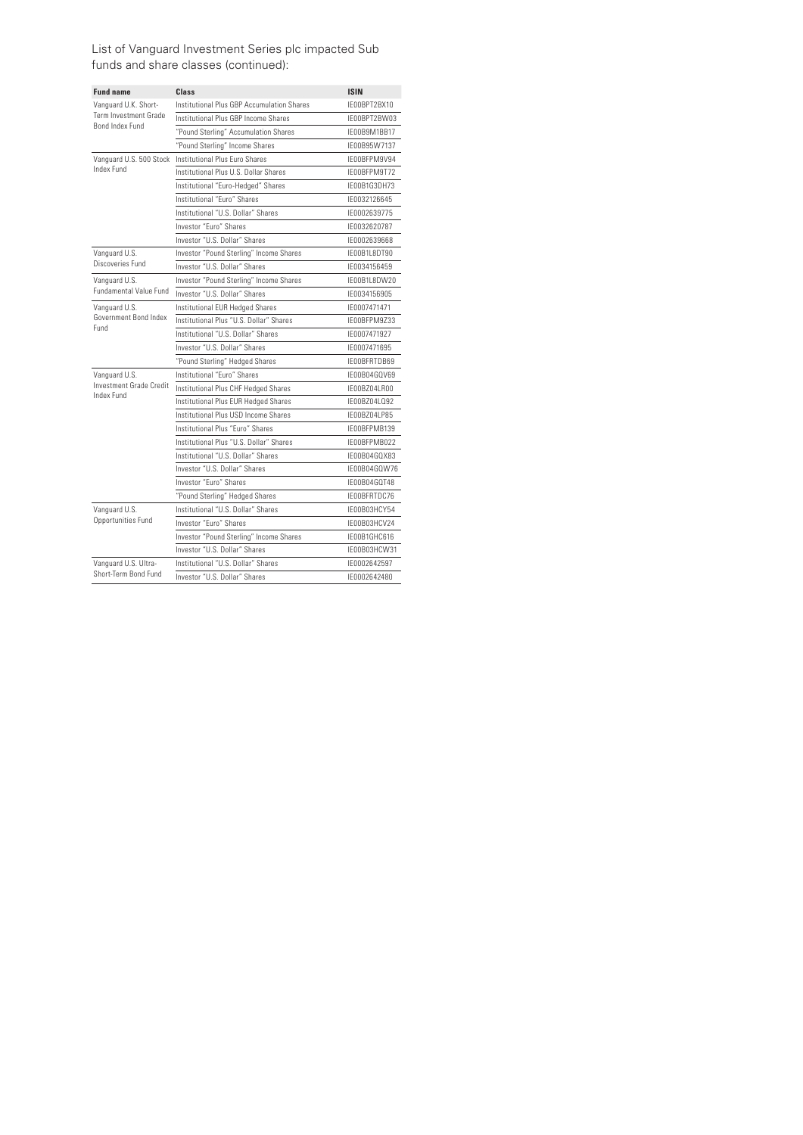#### List of Vanguard Investment Series plc impacted Sub funds and share classes (continued):

| <b>Fund name</b>                             | Class                                      | <b>ISIN</b>  |
|----------------------------------------------|--------------------------------------------|--------------|
| Vanguard U.K. Short-                         | Institutional Plus GBP Accumulation Shares | IE00BPT2BX10 |
| Term Investment Grade                        | Institutional Plus GBP Income Shares       | IE00BPT2BW03 |
| Bond Index Fund                              | "Pound Sterling" Accumulation Shares       | IE00B9M1BB17 |
|                                              | "Pound Sterling" Income Shares             | IE00B95W7137 |
| Vanquard U.S. 500 Stock                      | Institutional Plus Furo Shares             | IF00BFPM9V94 |
| Index Fund                                   | Institutional Plus U.S. Dollar Shares      | IF00BFPM9T72 |
|                                              | Institutional "Euro-Hedged" Shares         | IF00B1G3DH73 |
|                                              | Institutional "Euro" Shares                | IE0032126645 |
|                                              | Institutional "U.S. Dollar" Shares         | IE0002639775 |
|                                              | Investor "Euro" Shares                     | IE0032620787 |
|                                              | Investor "U.S. Dollar" Shares              | IE0002639668 |
| Vanguard U.S.                                | Investor "Pound Sterling" Income Shares    | IE00B1L8DT90 |
| Discoveries Fund                             | Investor "U.S. Dollar" Shares              | IE0034156459 |
| Vanguard U.S.                                | Investor "Pound Sterling" Income Shares    | IE00B1L8DW20 |
| Fundamental Value Fund                       | Investor "U.S. Dollar" Shares              | IE0034156905 |
| Vanguard U.S.                                | Institutional EUR Hedged Shares            | IE0007471471 |
| Government Bond Index<br>Fund                | Institutional Plus "U.S. Dollar" Shares    | IE00BFPM9Z33 |
|                                              | Institutional "U.S. Dollar" Shares         | IE0007471927 |
|                                              | Investor "U.S. Dollar" Shares              | IE0007471695 |
|                                              | "Pound Sterling" Hedged Shares             | IE00BFRTDB69 |
| Vanguard U.S.                                | Institutional "Furo" Shares                | IE00B04GQV69 |
| Investment Grade Credit<br>Index Fund        | Institutional Plus CHF Hedged Shares       | IE00BZ04LR00 |
|                                              | Institutional Plus EUR Hedged Shares       | IE00BZ04LQ92 |
|                                              | Institutional Plus USD Income Shares       | IE00BZ04LP85 |
|                                              | Institutional Plus "Furo" Shares           | IF00BFPMB139 |
|                                              | Institutional Plus "U.S. Dollar" Shares    | IE00BFPMB022 |
|                                              | Institutional "U.S. Dollar" Shares         | IE00B04GQX83 |
|                                              | Investor "U.S. Dollar" Shares              | IF00B04GOW76 |
|                                              | Investor "Euro" Shares                     | IE00B04GQT48 |
|                                              | "Pound Sterling" Hedged Shares             | IF00BFRTDC76 |
| Vanguard U.S.                                | Institutional "U.S. Dollar" Shares         | IE00B03HCY54 |
| Opportunities Fund                           | Investor "Euro" Shares                     | IE00B03HCV24 |
|                                              | Investor "Pound Sterling" Income Shares    | IF00B1GHC616 |
|                                              | Investor "U.S. Dollar" Shares              | IE00B03HCW31 |
| Vanquard U.S. Ultra-<br>Short-Term Bond Fund | Institutional "U.S. Dollar" Shares         | IE0002642597 |
|                                              | Investor "U.S. Dollar" Shares              | IE0002642480 |